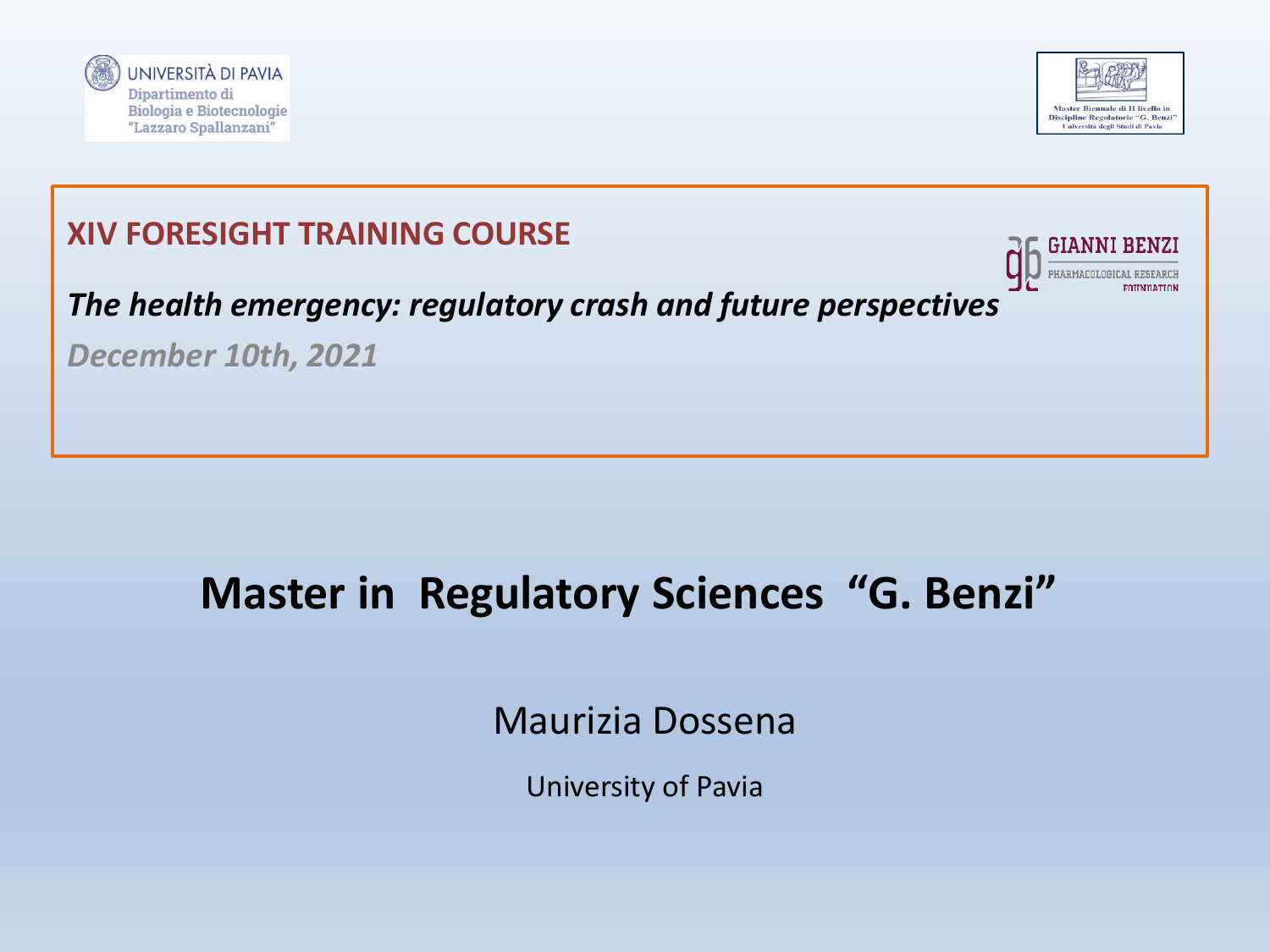





## **Master in Regulatory Sciences "G. Benzi"**

Maurizia Dossena

University of Pavia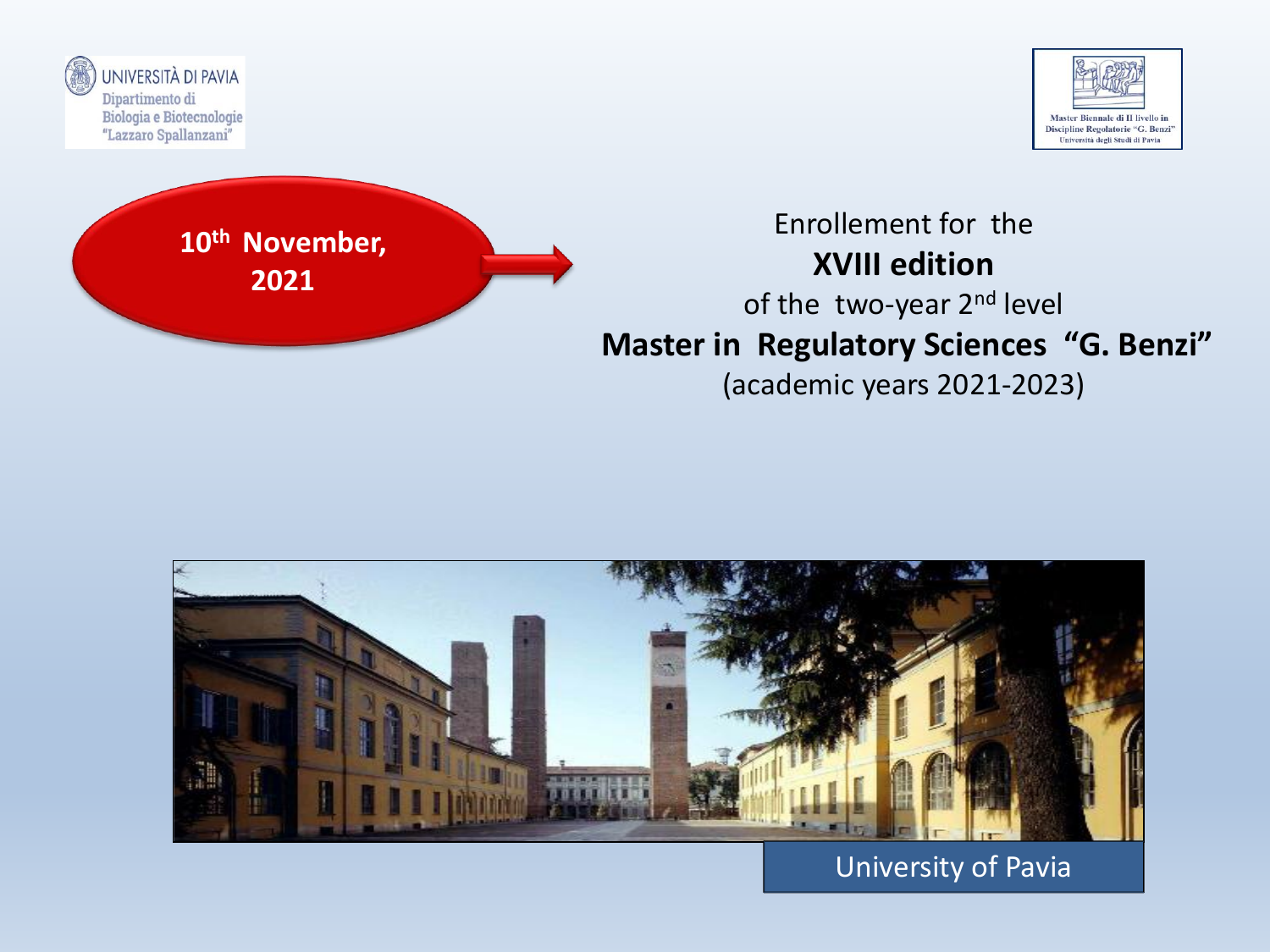





### Enrollement for the **XVIII edition** of the two-year 2<sup>nd</sup> level **Master in Regulatory Sciences "G. Benzi"** (academic years 2021-2023)



University of Pavia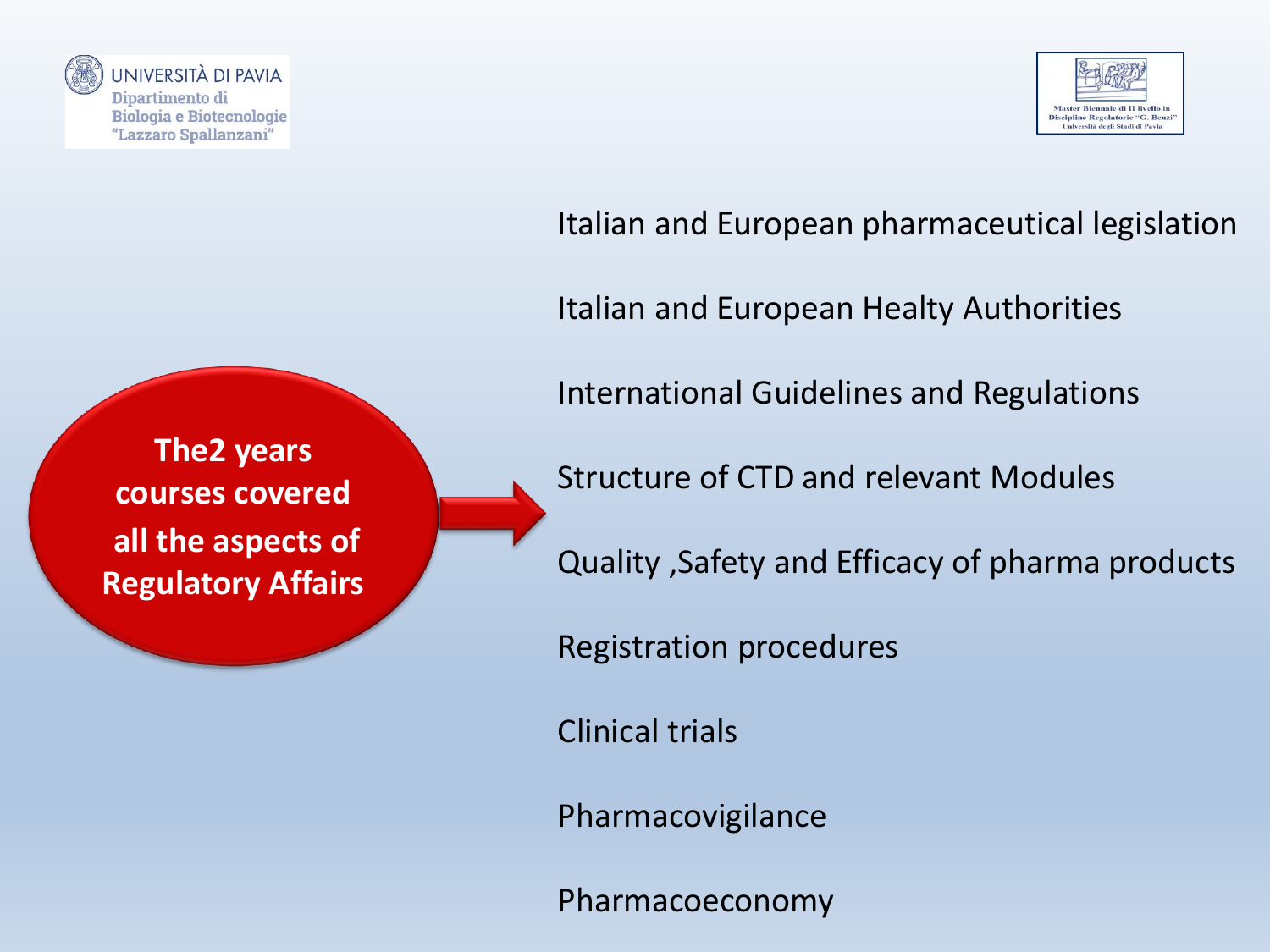

UNIVERSITÀ DI PAVIA Dipartimento di **Biologia e Biotecnologie** "Lazzaro Spallanzani"



### Italian and European pharmaceutical legislation

Italian and European Healty Authorities

International Guidelines and Regulations

**The2 years courses covered all the aspects of Regulatory Affairs**

Structure of CTD and relevant Modules

Quality ,Safety and Efficacy of pharma products

Registration procedures

Clinical trials

Pharmacovigilance

Pharmacoeconomy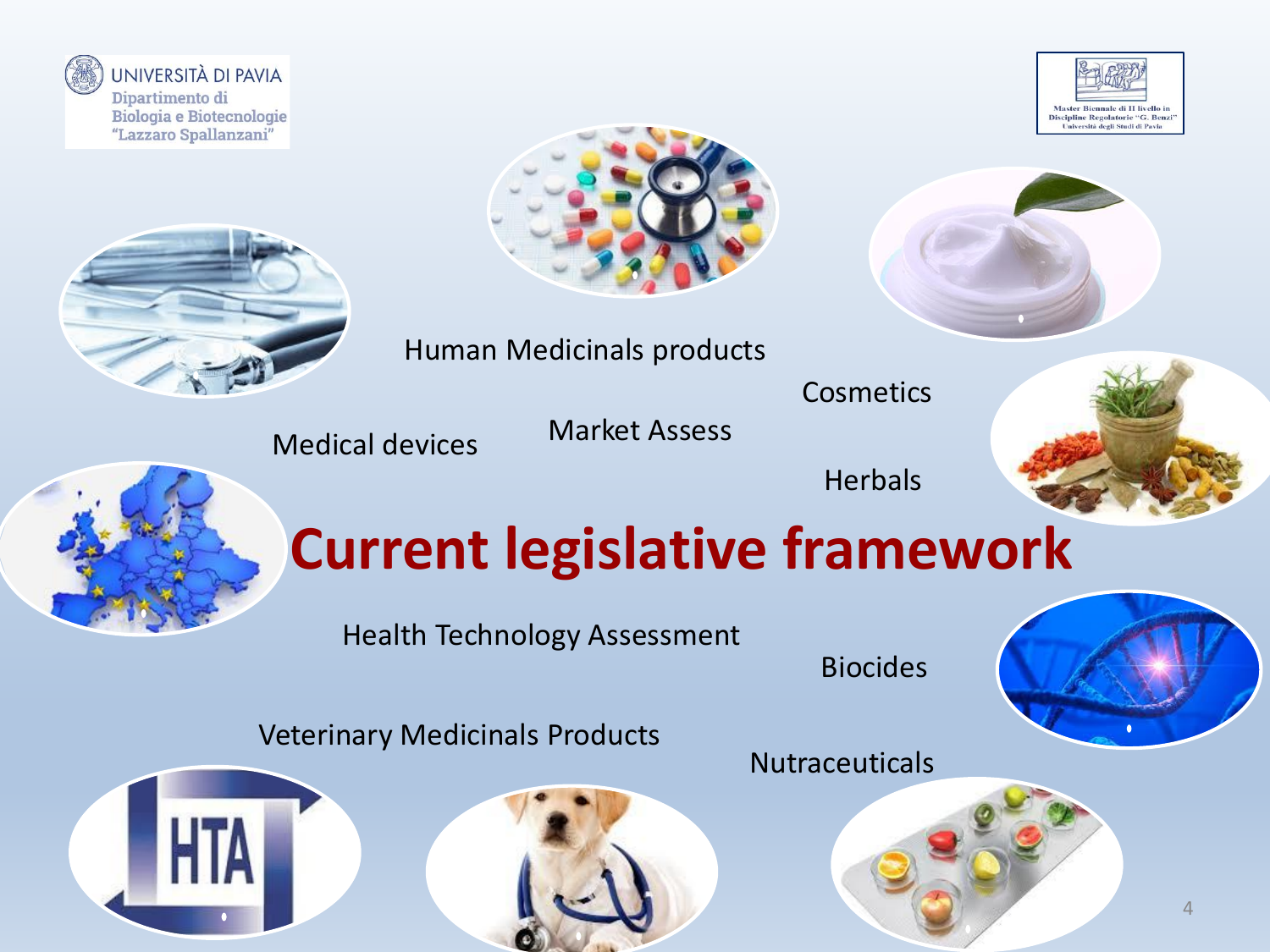

UNIVERSITÀ DI PAVIA Dipartimento di **Biologia e Biotecnologie** "Lazzaro Spallanzani"









Cosmetics

Market Assess Medical devices

**Herbals** 



# **Current legislative framework**

Health Technology Assessment

Biocides

Veterinary Medicinals Products



**Nutraceuticals** 



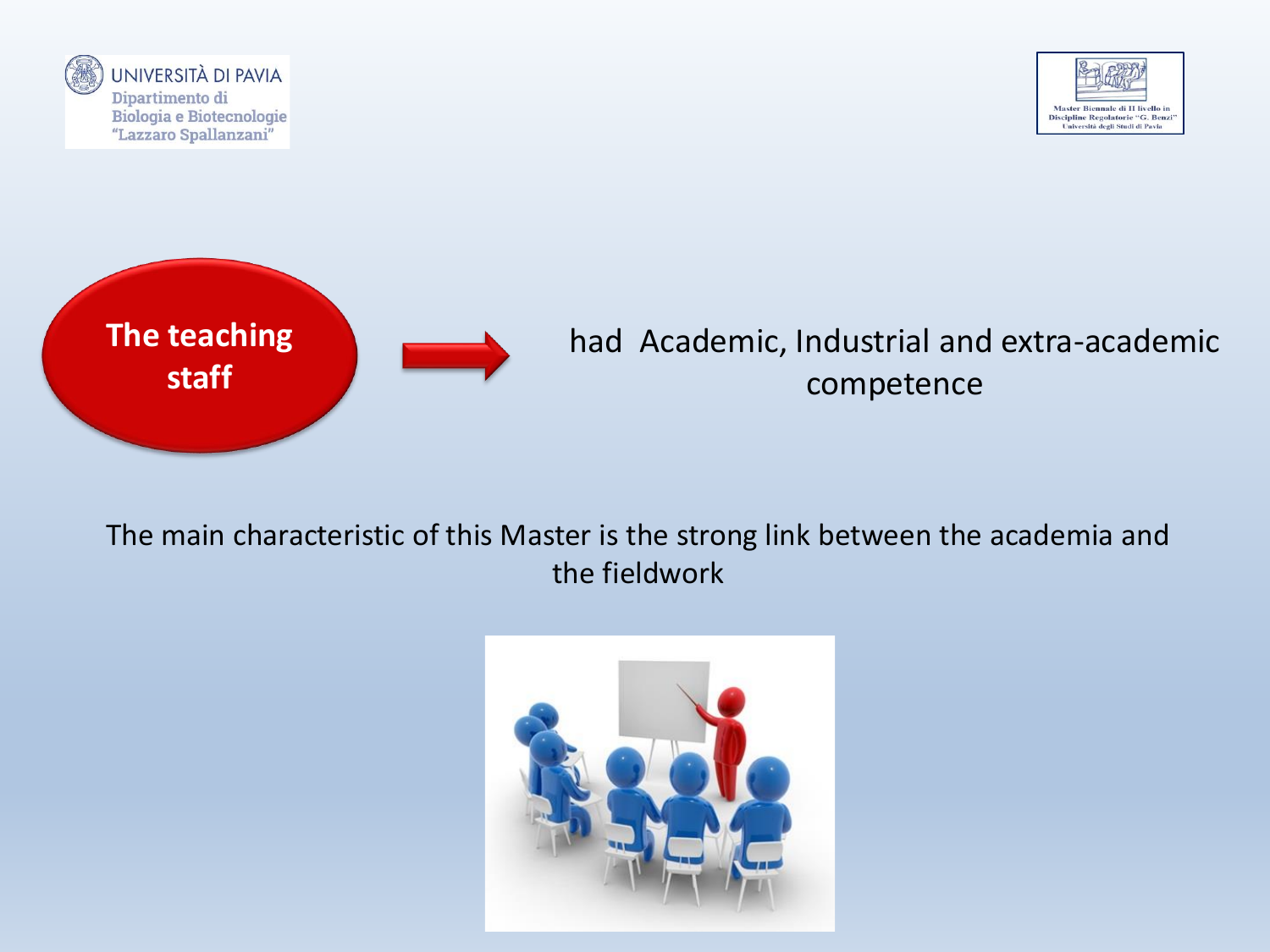





The main characteristic of this Master is the strong link between the academia and the fieldwork

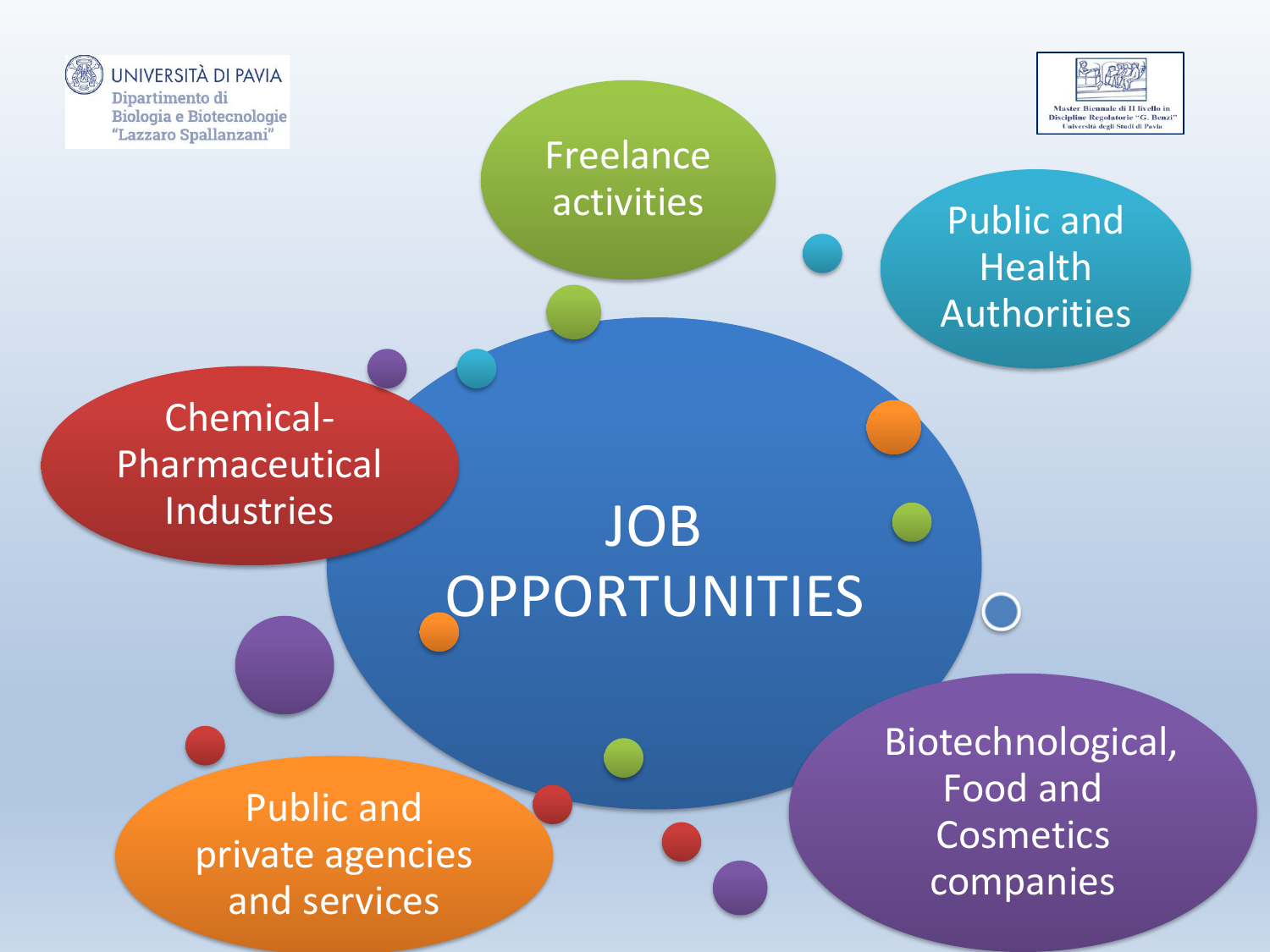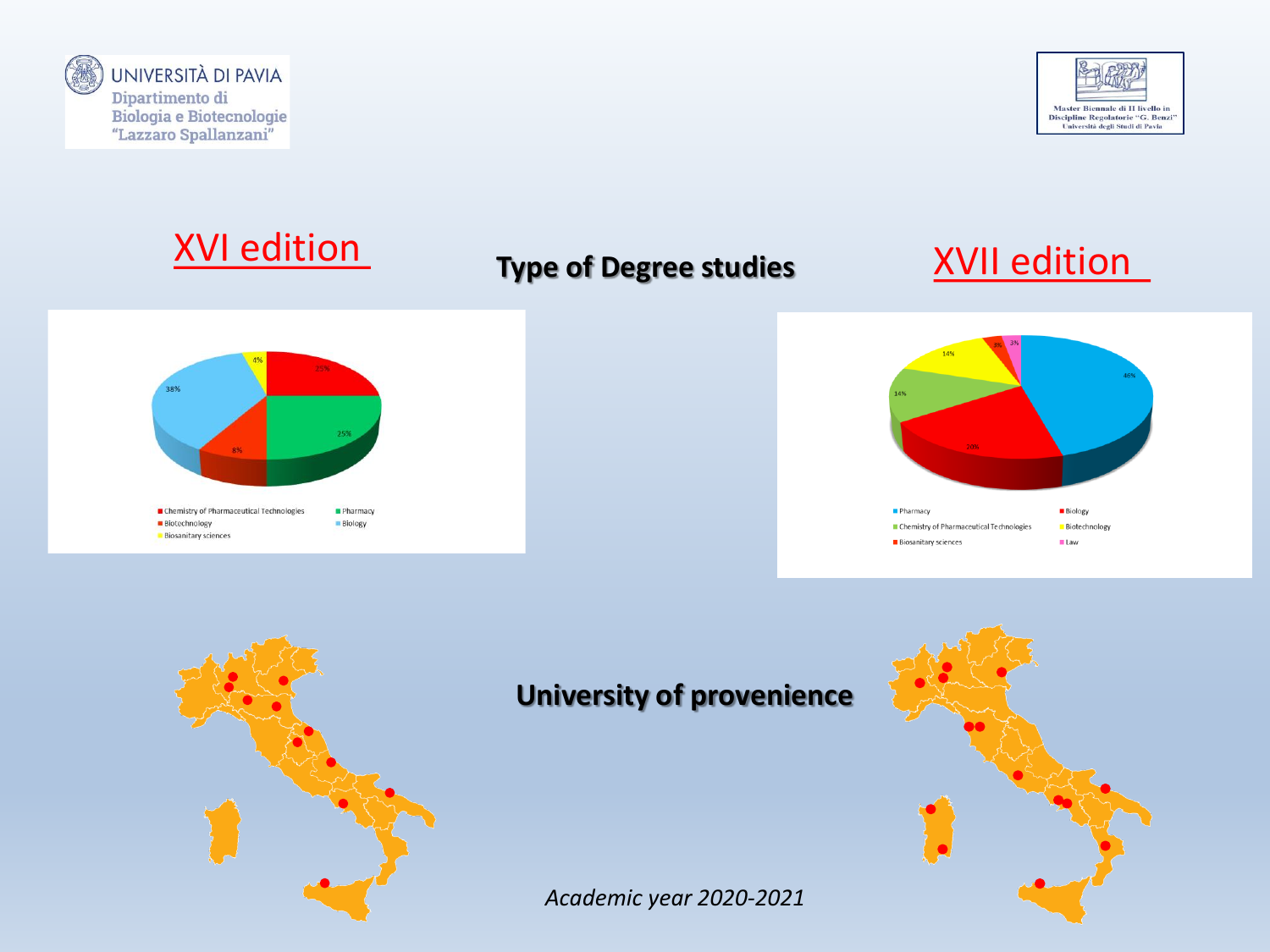





## XVI edition **Type of Degree studies** XVII edition



### **University of provenience**

*Academic year 2020-2021*